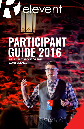# elevent

## **PARTICIPANT**  GUIDE 2016 RELEVENT SPONSORSHIP

WEST 24

**CONFERENCE**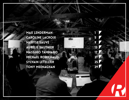MAX LENDERMAN Caroline lacroi **x** Marys e Sauvé AURELIE SAUTHIE M assi mo tammaro **MICHAEL ROBICHAUD** SYLVAIN LETELLIE TONY MEENAGHA

1<br>5<br>9

5

13

17

21

25

29

 $\sqrt{\phantom{a}}$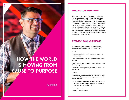**HOW THE WORLD** is Moving from Cause to Purpose

1

#### MAX LENDERMAN

#### Value Systems and Brands

Ninety-one per cent of global consumers would switch brands if a different brand of a similar price and quality supported a good cause. This reveals an undeniable connection between people's value systems and a brand's value system. On top of this, the world right now is moving from cause to purpose sponsorship. Indeed, having a purpose behind a brand is nothing short of transformative – on par with what digital did for brands back in the mid 90s. Why? Because people look for brands to show them what they care about in daily life – and purpose is the most effective way to show such care.

#### OVERVIEW: CAUSE VS. PURPOSE

Rule of thumb: Cause goes against something, and purpose is for something – stands for something. Cause:

- Examples: eradicate poverty; against cancer; against global warming.

- Is often borrowed equity – putting a pink ribbon on your packaging.

- Is often reactionary – something happened; we've got to do something about it.

- Has limited creative potential (not a lot you can do with a pink ribbon).

Purpose:

- Examples: be more sustainable; get people out in nature more; get rid of all the cancer-causing toxins in our water that cause cancer.

- Is often owned equity – we don't need to borrow a cause in order to talk about human rights, women's rights and cancer (better to own than borrow).

- Is often proactive.

- Has huge creative potential.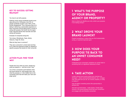#### K E Y TO SUCCESS: G ETTI NG **RELEVANT**

You have to act with purpose.

Edelman study saying worldwide brands score about 38 out of a 100 points. And 73% of people worldwide wouldn't care if 90% of the brands disappeared. This is because they're A) failing in delivering a memorable experience to their consumers and B) failing when it comes to acting with purpose. But herein lies the oppor tunity: tell good stories that resonate and start acting with purpose.

Example of companies doing this:

Tom shoes, Wholefoods, Tesla, Airbnb, Hoburne, Virgin Air, Dove.

What do they have in common?

They see a consumer's unmet need and they try to make the experience better by adopting a specific purpose that stands for their consumer.

## ACTION PLAN: FIND YOUR WHY

People don't buy what you have, people buy what you believe in – and this is your "why."

Try to find a connection point between what the brand stands for, what people want, and what the purpose is. In the middle here is the connection point that will make your next cam paign great.

## 1) WHAT'S THE PURPOSE OF YOUR BRAND, agency o r property?

Here is where you identify your why; what's your purpose, if not making money?

### 2) WHAT DROVE YOUR brand la unch?

Pinpoint something in culture that you find fundamentally wrong, or could be improved upon.

## 3) HOW DOES YOUR p urpos e ti e back to an unmet co nsumer NEED?

Understand your consumers; lockdown an unmet need or something that is of significant relevance to them.

## 4) TAKE ACTION

Locate cultural touch points where your enemies are strongest – where cancer/pollution/sexism, etc., is happe ning. And what can you do, as a brand, property, or entity to rectify it?

Use all relative marketing tactics like sponsorship to achieve this.

And don't just tell stories – make stories. Create expe riences in the actual physical world that your consumers can engage with and therefore remember.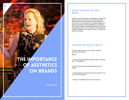## The Importance **OF AESTHETICS** on Brands

5

CAROLINE LACROIX

#### intro: the beauty of your **BRAND**

Everyone knows that design and aesthetics in sponsorship matter, but they just don't know how much they matter. Research shows the most powerful influencing factor on your brand is not necessarily your campaign strategy, but rather how beautiful and well-designed your campaign is. Why? Beauty triggers an immediate response in your brain that makes you want to own the product. This translates to a higher willingness for consumers to pay for whatever it is that you are selling.

#### overview: the rules of beauty

You must meet the three rules of beauty: simplicity, symmetry and harmony.

Beauty:

- Creates a higher willingness to pay the value – and often more – of the product.

- Shows off and inspires deeper appreciation for the product.

- Inspires longer-term care for the product long after it has run out of its functionality.

- Creates an immediate desire to own the product.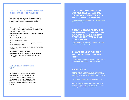#### key to success: finding harmony in the property environment

Rule of thumb: Beauty creates an immediate desire for a product – and to create beauty, your campaign must create an overall sense of beauty via the customer experience.

- The key to running a cool or beautiful-looking campaign is to integrate your sponsorship seamlessly within the pro perty where it takes place.

- Seamless and natural integration = beauty and aesthetic appreciation.

- Your brand activation must:

- Add influence to the property.

- Inspire the people to experience the property on a dee per, more interactive level.

- Create a natural and appreciated link between event and sponsorships.

- Examples of companies doing this:

- Lacoste and H&M (at Coachella), Desperados (at the Land of Kings music and arts festival), Sapporo and Bacardi (at Igloofest),

#### action plan: ' Find your why'

People don't buy what you have, people buy what you believe in – and this is your "why."

Try to find a connection point between what the brand stands for, what people want, and what the purpose is. In the middle here is the connection point that will make your next cam paign great.

#### 1) ALL PARTIES INVOLVED IN THE campaig n must collaborat e ON A DESIGN STRATEGY THAT IS A HOLISTIC AESTHETIC EXPERIENCE.

Here is where you identify your why; what's your purpose, if not making money?

#### 2) Creat e a g lobal po rtrait of THE EXPERIENCE )ESCAPE, SENSE OF TEMPERATURE, AESTHETICS, FLOW, en terta inment) – you cannot ISOLATE THE PARTS!

Pinpoint something in culture that you find fundamentally wrong, or could be improved upon.

#### 3) HOW DOES YOUR PURPOSE TIE BACK TO AN UNMET CONSUM need?

Understand your consumers; lockdown an unmet need or something that is of significant relevance to them.

#### 4) TAKE ACTION

Locate cultural touch points where your enemies are strongest – where cancer/pollution/sexism, etc., is happe ning. And what can you do, as a brand, property, or entity to rectify it?

Use all relative marketing tactics like sponsorship to achieve this.

And don't just tell stories – make stories. Create expe riences in the actual physical world that your consumers can engage with and therefore remember.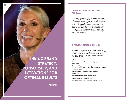Linking Brand STRATEGY, Sponsorship, and Activations for Optimal Results

9

MARYSE SAUVÉ

#### Introduction: The 'Red Thread Approach'

When doing sponsorships, it's essential to ensure brand alignment. To do this, use the "red thread approach: "if you can't weave a connection, if you can't find any elements of your brand positioning within the property coming to see you - or a potential alignment with the activation - start questioning it right away. Before anything else, you've got to ask yourself "why?" Why would my brand want this? Why would it want to be affiliated with this? If you can't weave the thread, don't let the partnership or campaign get off the ground as it is.

#### Overview: Creating the Link

Rule of thumb: Simply sponsoring a property based on shared targets and target groups does not create impactful sponsorship results; you must be able to clearly see the link - the fit - between a corporate sponsor and the property it's sponsoring.

The 'Link':

If consumers see the link from the get-go, you get faster, better results.

If no link exists, you risk eliciting apathy or even worse: cynicism (if you're found to be phony, you will pay the price on social media).

It must be novel, original and create meaningful experiences.

It must reflect the consumer's personality.

It must reflect who the consumer is.

It must create a fit for the consumer within the brand.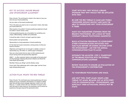#### Key to Success: Ensure Brand and Sponsorship Alignment

Rule of thumb: The red thread is rooted in the nature of your product and your brand positioning.

Are you clear on the brand's positioning?

This is the place you want to own in consumers' minds: what does your brand stand for?

What exactly is its position? A brand positioning statement should be written in seven words or less.

A strong positioning gives you a foundation for something very unique, differentiating, credible and sustainable.

It should be static in time for at least a good ten years.

Brand position and sponsorship:

Sponsorship is a living expression of brand positioning.

It's the best tool to give consumers a strong sense of what your brand is all about.

Objectives and target fit are not enough to validate a choice of sponsorship (e.g. the Oikos vs. Liberté yogurt campaigns).

Here are a few brands that are clear on their positioning and ensure strong brand and sponsorship alignment:

H&M ("... to offer customers fashion and quality at the best price" and the Garbage Collecting Movement Initiative and World Recycle Week sponsorship)

Red Bull ("Gives you Wings" and the Stratos Jump)

Coors Light ("Epic gatherings with a winter edge" and the Coors Light Snowbombing event)

#### Action Plan: Weave the Red Thread

Rule of thumb: The red thread (your brand positioning) will never replace all of your evaluation mechanisms; it's simply an added layer that will help ensure strategic alignment, which in turn will help you: 1) create content with your activation 2) ensure consumers will want to share what you are proposing, and 3) ensure an experience that goes beyond the sponsored event.

Start with why: Why would a brand sponsor this? why would they be affiliated WITH THIS?

Be sure the red thread is clear and visible: consumers should quickly and easily be able to understand why your sponsorship is there.

Inject key parameters stemming from the **BRAND'S POSITIONING GET A HOLD OF YOUR** company's brand positioning manifesto!).

Build activation programs to complement other communications initiatives that take place before or during or even after the sponsorship - ask for the annual communications plan to align.

INTEGRATE THE ADJUSTED )STEP 3) STANDPOINT of the brand position into the overall communications calendar.

Review your KPIs to ensure an evaluation of the sponsorship's contribution

to your brand positioning and image.

And next time, start again: weave a red thread yet again. Because just as with every type of communication - sponsorships, and especially their activations, should not be **STATIC**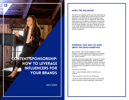CONTENT SPONSORSHIP: How to Leverage Influencers for YOUR BRANDS

13

AURÉLIE SAUTHIER

#### Intro: The Influencer

We need to tell engaging stories. But more importantly, we need people to engage with our brand. And this is where influencers, such as those who have amassed a huge following on YouTube, play an integral role. After looking closely at who your audience is, what they consume and what platform they are on, the next step is to use influencers as content strategy. If you get an influencer who sits in your target audience to talk about your brand, or tell a riveting story about your brand, then you're on your way to effective engagement.

#### Overview: Two Ways to Think About Influence Marketing

Rule of thumb: There are two strategies to create influence: 1) sponsor people to talk about your message/ brand/product; 2) actually involve a digital influencer in your sponsor program.

Currently, consumers engage with 11.4 pieces of content before making a purchase decision. What's changed is that this content is not only created by brands, but also by consumers and digital influencers. As a brand, you need to make sure that you guide this content and have a presence in it.

The best kind of content:

- Must 1) help 2) educate, and/or 3) entertain your audience.

- Does not need to come from you (influencers).

- Avoids an online format that succumbs to "ad blocking" (make it interesting, shared organically, video-based).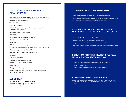#### key to success: get on the right video platforms

Rule of thumb: Video is your golden ticket: by 2017, 69% of all traffic online will be on video. Some 81% of Internet users currently consume video – as do 96% of Millennials.

The video platforms:

- YouTube Influencers

- With its "Meetup" feature, your influencer can engage with and meet directly with your audience

- Example: Nike and Casey Neistat
- Facebook
- Becoming a huge competitor with YouTube
- Brand using it well: ING Direct
- Instagram
- 80 million pictures posted daily
- Some 60% of users say they discover products through the platform
- Take advantage of the new "stories" function
- Example: Oikos and the Lolë White Tour 2016
- Snapchat
- 150 million daily users
- 10 billion stories watched every day
- Brand using it well: National Geographic
- Live Streaming
- Engages users instantly
- Can be shared via other social media channels simultaneously
- Example: Red Bull's Stratos jump.

#### action plan:

Rule of thumb: focus your strategy on how to make sponsorship involve your audience versus simply speaking to them.

#### 1) Focus on discussions and debates

- Create a campaign that elicits discussion, engages your audience.
- Create blogs and websites that don't just show off but become a destination for your audience to gain something to take back into their lives.

#### 2) Organize physical events where the best and the most active users can come together

- Can use YouTube Meetups through your influencer.
- Can use live streaming on Facebook to increase reach.
- Bring in more than one influencer to draw a crowd and elicit discussion.
- Guarantees organic Instagram, Snapchat, Twitter and other social media reach.

#### 3) Create content that will not only tell a story but also answer questions

- Ensures your content lives on the Internet beyond your campaign.
- Produces views over time.
- Ensures engagement with your brand beyond entertainment.

#### 4) Cross-pollinate your channels

Once a video is published, be sure to create a comprehensive strategy that lets you also use it on your A) website, B) social media channels, and C) your newsletter.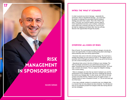

17

MASSIMO TAMMARO

#### Intro: The 'What If' Scenario

In order to prevent any kind of damage – especially the worst kind, which is reputational damage – you must have the ability to challenge the assumption behind whatever strategy your team has in place. This is the "what if" scenario. To do this, you must be creative, and you need to invent hypothetical scenarios, give numbers, understand every which way a scenario can play out. If you do your job right by mapping out all these risks, then you will also discover new opportunities through the process.

#### Overview: All Kinds of Risks

Rule of thumb: You must protect yourself from dangers, but also discover new opportunities. It's about avoiding being taken advantage of while protecting value and seizing opportunities.

- Economic risks come in the form of losing money. You must have a strategy that guides you from point A to point Z. The biggest cause of economic risk is ill-thought-out reaction. Do not say yes to the first person who comes knocking at your door.

- Operational risks come in the form of failing on your strategy. The risks are directly connected to your performance during your campaign. Everything here is part of an interconnected process. You must map, evaluate and analyze. Then you apply the mitigation strategy. This is never-ending.

- Risks to strategies are risks that can stand in between you and the achievement of your strategic plan. Be sure to challenge the assumption behind your strategic plan. In other words, don't fall into the trap of black-and-white thinking: "Nobody will buy the digital camera," or "Nobody wants to have a computer at home," or "The car will never get rid of the horse."

- If you map, evaluate, analyze in a proactive way, you mitigate risks in a manner that not only protects but also enhances. You will discover that you've protected yourself from dangers while also having discovered new strategies.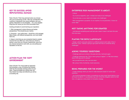#### Key to Success: Avoid Reputational Damage

Rule of thumb: Think long and hard when you choose who you're partnering up with. Take into consideration the customer's satisfaction and natural affiliation with your partner. Reputation is not intangible – it's a very tangible thing that can cause you the most irrevocable harm.

Guiding principles to avoid harming your reputation:

1. Risk management is about diverse and astute perspectives. This should be your mantra.

2. Everyone – your entire team – should be a risk manager. Many heads, with different perspectives, are much better than one.

3. Keep in mind that you are constantly linked to outside sources that can affect you: every time you choose a partner, every time you choose a testimonial, every time you choose someone to work with, you are putting your reputation on the line.

#### Action Plan: The 'Soft Environment'

Rule of thumb: You must create an approach that embodies a way of thinking that embeds itself into the everyday working culture of your team. These principles are nothing new, but they dictate how deep and effective you will be at avoiding risk.

#### Enterprise Risk Management is about:

- Culture
- You must be respectful, open- minded and ready to be challenged.
- You're the boss, so you need to be ready to be challenged.

- Risk management is proactive: it's not reactive; it's not prevention; it does not come "after."

#### Not taking anything for granted

- Just because something went well last year, doesn't mean it will work this year. And vice-versa.

#### PLAYING THE DEVIL'S ADVOCATE

- Assign a devil's advocate position to a different person each week. Once it becomes "a job," nobody is going to get upset that they're constantly being challenged.

#### Asking yourself questions

- Challenge what you've done in the past and why it will work again.
- Challenge statements like "This is never going to happen", or "We have always done it this way and it's worked."
- Ask yourself the who, why, how and when.
- Be curious: think of schemes, invent scenarios.

#### Being prepared for the worst

- Create meetings where you have to make decisions based on worse-case scenarios.

- You must be prepared to listen to something you have never heard before or you will never be able to: 1) successfully map risk; 2) find the mitigation action for that risk; or 3) approve a new project or innovative strategy.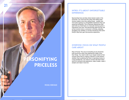

Michael Robichaud

#### **INTRO: IT'S ABOUT UNFORGETTABLE EXPERIENCES**

Sponsorship lives and dies where tension exists in the consumer. You must trust the notion that selling experiences matters more than selling things – people care more about gaining an unforgettable experience than just acquiring something. This is because experiences (like each time you think back on a favourite memory) grow in importance over time. And sponsorship plays the key role at that moment when a consumer is thinking, debating, struggling over whether or not they should buy that something to help them gain that precious experience.

#### Overview: Focus on What People **CARE ABOUT**

Rule of thumb: The core of everything we do should be built around the notion that experiences matter more than things. You need to talk to your target market at that moment when they're making a decision of vital interest – whether they're painting their face or spending money on a long-awaited trip. You need to connect with them there and try to enhance that experience, make it better, make it simpler and make it more fun.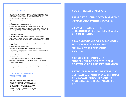#### Key to success:

Rule of thumb: Answer the question, "How can we enable the consumer to do something that becomes a priceless experience?" Your goal should be about creating an experience that will be shared natively by the consumer, instead of you having to facilitate.

Using Mastercard's "Priceless" Model as an Example

- Focus on an environment (cities)

- Target it in a way that speaks to the environment: the affluent who want urban experiences, such as dining out, traveling, shopping and so on.

- Carve out a role in what experiences you can we provide in these moments.

- Ask yourself: Is there something special about the restaurant, the place or the store that says "Hey, you're opening your second restaurant – can we be there for the launch of it?" Can we somehow make that a special experience for which you're going to come out and curate?

- Focus on a feeling (surprises)

- Target an emotion that you can induce that will make the consumers want more.

- It can be small and basic but still add a bonus experience. For example, if you take a client to a Canadiens hockey game, you offer free tickets, autographs, meetings with players and so on.

- You want people to feel it, like they are special and have a good shot of receiving something just for them.

- Get behind something meaningful (causes)

- You need to think on the consumer level, and what morally drives people.

- Use sponsorship in a way that gives consumers the opportunity to be part of donating or giving to a cause they identify with.

- Build it in organically as part of your strategy and stand up on their behalf.

- Do a little bit extra (specials)

- We all like to get a little something extra (e.g. saving a little bit of money).

- Small things go a long way – like a 10% discount here, buy one and get one free, etc.

- This helps build brand loyalty.

\* Lacoste and H&M (at Coachella), Desperados (at the Land of Kings music and arts festival), Sapporo and Bacardi (at Igloofest),

#### Action plan: personify your experience

Rule of thumb: Always keep in mind what it is your consumers are trying to do and what their experiences will be. Ask yourself: "How do we get our consumers connected with the necessary institutions? How do we take these advantages that we have and implement them? How do we personify the priceless experience?"

#### Your "Priceless" Mission:

1 Start by aligning with marketing objects and business targets.

2 Concentrate on the stakeholders, consumers, issuers and merchants.

3 Take advantage of key moments to accelerate the product message where and when it counts.

4 Foster teamwork and engagement to select the best portfolio for this organization.

5 Execute flexibility, be strategic, cultivate a diverse menu, be nimble and always personify what a "priceless experience" means to you.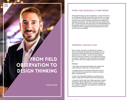## **FROM FIELD OBSERVATION TO** DESIGN THINKING

25

#### SYLVAIN LETELLIER

#### Intro: Field Research is Your Friend

Field research helps you sell an experience – and we know this is our ultimate goal. We don't just want to sell a product, or a brand or an event. To successfully sell an experience, you must understand the context of your campaign and ensure the experience is engaging and authentic. You must interact with your target consumer – not just send out polls and surveys. And anthropological and ethnographic research is a tool that will show you how to do this. It's about interviews, engaging and learning directly from those who will fuel your campaign.

#### Overview: Context is Key

Rule of thumb: You need to understand the context in order to understand the people you are dealing with. You also need to understand the experience because it's the experience you're selling – not just a product (Apple's iPhone is more than a product: it's an experience and status symbol). Take action in ways that help you understand the context in which your target consumers do what they do.

#### Strategies:

- Technology: Use latest technologies, like watches that receive biometric responses, for market research.

- Sampling: Reach out to directly contact and communicate with those who represent your audience at large to better understand them.

- Events: Use focused get-togethers, as people want to interact, speak with the brand and with the ambassador.

- Questions: Ask the right ones. What experience is behind this product? What's happening in the mind of the consumer? What motivates them to set up a group of people, go for long rides on weekends and experience something that they want to be part of?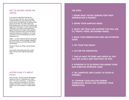#### KEY TO SUCCESS: ENTER THE JUNGL

If you want to understand what the lion hunts, don't go to the zoo, go to the jungle. In sponsorship terms, you need to go to the sports events, the gatherings, the places where groups are formed. You want to learn why these people yearn to be part of something way bigger than themselves. In order to get the right information, you need to know what kind of people represent your target market perfectly. The key to success? Don't go into the field to simply find what you're looking for. You need to go there to find something that you weren't expecting at all.

H&M ("... to offer customers fashion and quality at the best price" and the Garbage Collecting Movement Initiative and World Recycle Week sponsorship)

Red Bull ("Gives you Wings" and the Stratos Jump)

Coors Light ("Epic gatherings with a winter edge" and the Coors Light Snowbombing event)

#### Actio n Plan: It's about **FOCUS**

Rule of thumb: You don't just do ethnography saying you want to "understand your custo mers". You want a real focus – a real point of view on what you are looking for. The more targeted, the better. You will not yield strong results if you are shooting for a simple global view.

#### THE STEPS:

1 DEFINE WHAT YOU'RE LOOKING FOR? WHAT INFORMATION IS MISSING?

2) D efine you r sampl i ng needs.

3) Select th e too ls and suppo rt you w ill us e, e.g. photo, video, 360-degree videos.

4) BUILD YOUR OBSERVATION GRID AND INTERVIEV guide .

5) Get you r team ready.

6) Go fo r th e unexpec ted.

7) Ta k e as many p i ctures and videos as you can, but always keep one poi nt of view .

8) INTERVIEW 12 TO 20 PEOPLE FOLLOWING YOUR NON-DIRECTED INTERVIEW GUIDE.

9) Tag, annotat e and classify as soo n as possible .

10) COMPARE YOUR ANALYSES DURING WORKSHOPS, REVIEW AND CONFRONT YOUR per spectiv es.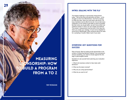

29

Tony Meenaghan

#### Intro: Dealing with 'The Flu'

The biggest challenge in sponsorship measurement today – with all the tools and gimmicks out there – is the struggle to show true effectiveness. Use the flu analogy to make this clear: when we come down with the flu, we busy marketers cannot afford to be sick. So we take every medication on the market to get better as fast as possible. But then when we do get better, we don't know which one medicine worked. In short, we can't isolate and attribute. The answer: measurement must be built in from day one, when you create your strategy. It must not be relegated to some kind of afterthought, when someone above you asks for a sampling of results. Make it part of your plan.

#### Overview: Key Questions for **SUCCESS**

Rule of thumb: Start by looking at the sponsorship in the context of influencing decision-making. If you are going to choose something, you need to choose against the strategy to yield tangible results.

Questions to ask yourself when planning your evaluation objectives:

1. What's the business context to help make solid decisions?

2. What are the tasks involved?

3. Why are you using sponsorships?

4. What do you want to do?